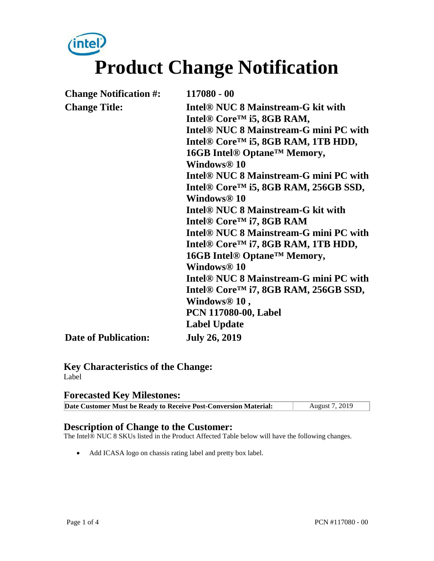# $(intel)$ **Product Change Notification**

| <b>Change Notification #:</b><br><b>Change Title:</b> | 117080 - 00<br>Intel <sup>®</sup> NUC 8 Mainstream-G kit with<br>Intel <sup>®</sup> Core <sup>™</sup> i5, 8GB RAM,<br>Intel <sup>®</sup> NUC 8 Mainstream-G mini PC with<br>Intel <sup>®</sup> Core <sup>™</sup> i5, 8GB RAM, 1TB HDD,<br>16GB Intel® Optane <sup>™</sup> Memory,<br>Windows <sup>®</sup> 10<br>Intel <sup>®</sup> NUC 8 Mainstream-G mini PC with<br>Intel <sup>®</sup> Core <sup>™</sup> i5, 8GB RAM, 256GB SSD,<br>Windows® 10<br>Intel <sup>®</sup> NUC 8 Mainstream-G kit with<br>Intel <sup>®</sup> Core <sup>™</sup> i7, 8GB RAM<br>Intel <sup>®</sup> NUC 8 Mainstream-G mini PC with<br>Intel <sup>®</sup> Core <sup>™</sup> i7, 8GB RAM, 1TB HDD,<br>16GB Intel® Optane <sup>™</sup> Memory,<br>Windows <sup>®</sup> 10<br>Intel <sup>®</sup> NUC 8 Mainstream-G mini PC with<br>Intel <sup>®</sup> Core <sup>™</sup> i7, 8GB RAM, 256GB SSD,<br>Windows <sup>®</sup> 10,<br><b>PCN 117080-00, Label</b> |
|-------------------------------------------------------|------------------------------------------------------------------------------------------------------------------------------------------------------------------------------------------------------------------------------------------------------------------------------------------------------------------------------------------------------------------------------------------------------------------------------------------------------------------------------------------------------------------------------------------------------------------------------------------------------------------------------------------------------------------------------------------------------------------------------------------------------------------------------------------------------------------------------------------------------------------------------------------------------------------------------------|
| <b>Date of Publication:</b>                           | <b>Label Update</b><br><b>July 26, 2019</b>                                                                                                                                                                                                                                                                                                                                                                                                                                                                                                                                                                                                                                                                                                                                                                                                                                                                                        |

**Key Characteristics of the Change:** Label

#### **Forecasted Key Milestones:**

| Date Customer Must be Ready to Receive Post-Conversion Material: | August 7, 2019 |
|------------------------------------------------------------------|----------------|

#### **Description of Change to the Customer:**

The Intel® NUC 8 SKUs listed in the Product Affected Table below will have the following changes.

• Add ICASA logo on chassis rating label and pretty box label.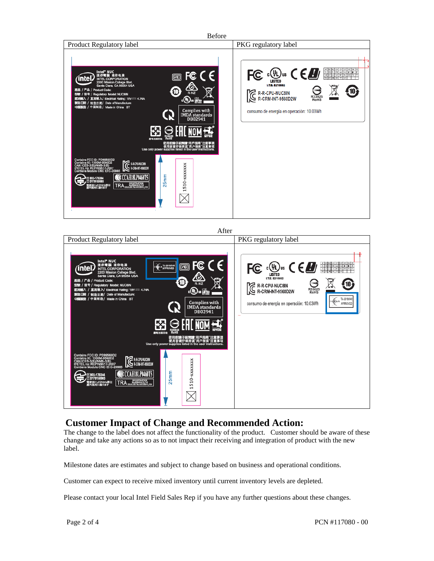



#### **Customer Impact of Change and Recommended Action:**

The change to the label does not affect the functionality of the product. Customer should be aware of these change and take any actions so as to not impact their receiving and integration of product with the new label.

Milestone dates are estimates and subject to change based on business and operational conditions.

Customer can expect to receive mixed inventory until current inventory levels are depleted.

Please contact your local Intel Field Sales Rep if you have any further questions about these changes.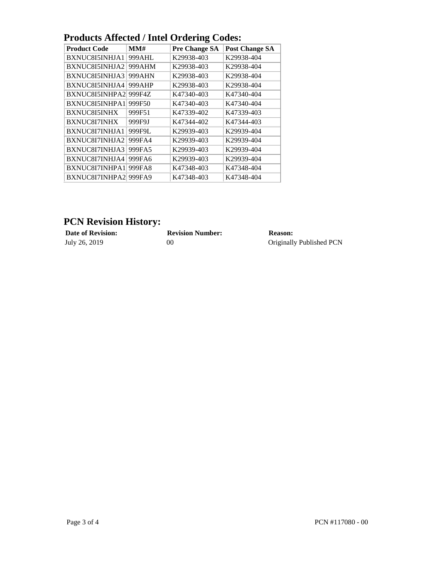| I Tougles Anteclea / Thier Orgering Coucs. |                                                                      |                       |  |  |
|--------------------------------------------|----------------------------------------------------------------------|-----------------------|--|--|
| MMH                                        | <b>Pre Change SA</b>                                                 | <b>Post Change SA</b> |  |  |
| 999AHL                                     | K29938-403                                                           | K29938-404            |  |  |
| 999AHM                                     | K29938-403                                                           | K29938-404            |  |  |
| 999AHN                                     | K29938-403                                                           | K29938-404            |  |  |
| 999AHP                                     | K29938-403                                                           | K29938-404            |  |  |
| 999F4Z                                     | K47340-403                                                           | K47340-404            |  |  |
| 999F50                                     | K47340-403                                                           | K47340-404            |  |  |
| 999F51                                     | K47339-402                                                           | K47339-403            |  |  |
| 999F9J                                     | K47344-402                                                           | K47344-403            |  |  |
| 999F9L                                     | K29939-403                                                           | K29939-404            |  |  |
| 999FA4                                     | K29939-403                                                           | K29939-404            |  |  |
| 999FA5                                     | K29939-403                                                           | K29939-404            |  |  |
| 999FA6                                     | K29939-403                                                           | K29939-404            |  |  |
| 999FA8                                     | K47348-403                                                           | K47348-404            |  |  |
| 999FA9                                     | K47348-403                                                           | K47348-404            |  |  |
|                                            | BXNUC8I5INHPA2<br>BXNUC8I5INHPA1<br>BXNUC8I7INHPA1<br>BXNUC8I7INHPA2 |                       |  |  |

### **Products Affected / Intel Ordering Codes:**

## **PCN Revision History:**

**Date of Revision: Revision Number: Reason:** July 26, 2019 00 Originally Originally Published PCN